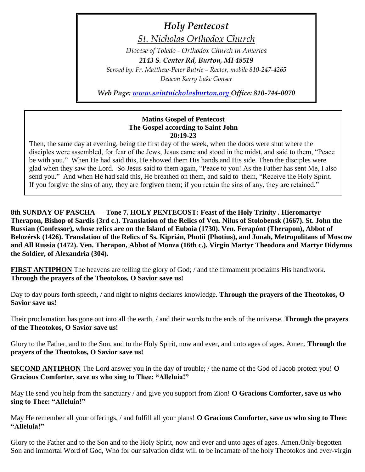## *Holy Pentecost*

*St. Nicholas Orthodox Church*

*Diocese of Toledo - Orthodox Church in America 2143 S. Center Rd, Burton, MI 48519 Served by: Fr. Matthew-Peter Butrie – Rector, mobile 810-247-4265 Deacon Kerry Luke Gonser*

*Web Page: [www.saintnicholasburton.org](http://www.saintnicholasburton.org/) Office: 810-744-0070*

#### **Matins Gospel of Pentecost The Gospel according to Saint John 20:19-23**

Then, the same day at evening, being the first day of the week, when the doors were shut where the disciples were assembled, for fear of the Jews, Jesus came and stood in the midst, and said to them, "Peace be with you." When He had said this, He showed them His hands and His side. Then the disciples were glad when they saw the Lord. So Jesus said to them again, "Peace to you! As the Father has sent Me, I also send you." And when He had said this, He breathed on them, and said to them, "Receive the Holy Spirit. If you forgive the sins of any, they are forgiven them; if you retain the sins of any, they are retained."

**8th SUNDAY OF PASCHA — Tone 7. HOLY PENTECOST: Feast of the Holy Trinity . Hieromartyr Therapon, Bishop of Sardis (3rd c.). Translation of the Relics of Ven. Nilus of Stolobensk (1667). St. John the Russian (Confessor), whose relics are on the Island of Euboia (1730). Ven. Ferapónt (Therapon), Abbot of Belozérsk (1426). Translation of the Relics of Ss. Kiprián, Photii (Photius), and Jonah, Metropolitans of Moscow and All Russia (1472). Ven. Therapon, Abbot of Monza (16th c.). Virgin Martyr Theodora and Martyr Didymus the Soldier, of Alexandria (304).** 

**FIRST ANTIPHON** The heavens are telling the glory of God; / and the firmament proclaims His handiwork. **Through the prayers of the Theotokos, O Savior save us!**

Day to day pours forth speech, / and night to nights declares knowledge. **Through the prayers of the Theotokos, O Savior save us!** 

Their proclamation has gone out into all the earth, / and their words to the ends of the universe. **Through the prayers of the Theotokos, O Savior save us!** 

Glory to the Father, and to the Son, and to the Holy Spirit, now and ever, and unto ages of ages. Amen. **Through the prayers of the Theotokos, O Savior save us!** 

**SECOND ANTIPHON** The Lord answer you in the day of trouble; / the name of the God of Jacob protect you! **O Gracious Comforter, save us who sing to Thee: "Alleluia!"** 

May He send you help from the sanctuary / and give you support from Zion! **O Gracious Comforter, save us who sing to Thee: "Alleluia!"** 

May He remember all your offerings, / and fulfill all your plans! **O Gracious Comforter, save us who sing to Thee: "Alleluia!"**

Glory to the Father and to the Son and to the Holy Spirit, now and ever and unto ages of ages. Amen.Only-begotten Son and immortal Word of God, Who for our salvation didst will to be incarnate of the holy Theotokos and ever-virgin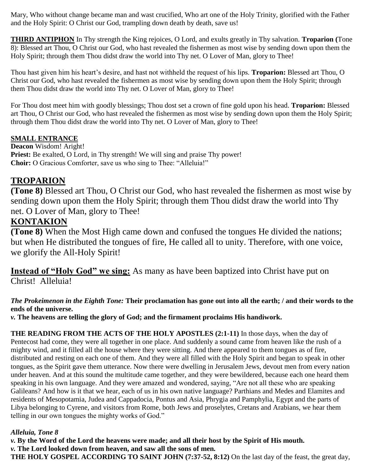Mary, Who without change became man and wast crucified, Who art one of the Holy Trinity, glorified with the Father and the Holy Spirit: O Christ our God, trampling down death by death, save us!

**THIRD ANTIPHON** In Thy strength the King rejoices, O Lord, and exults greatly in Thy salvation. **Troparion (**Tone 8): Blessed art Thou, O Christ our God, who hast revealed the fishermen as most wise by sending down upon them the Holy Spirit; through them Thou didst draw the world into Thy net. O Lover of Man, glory to Thee!

Thou hast given him his heart's desire, and hast not withheld the request of his lips. **Troparion:** Blessed art Thou, O Christ our God, who hast revealed the fishermen as most wise by sending down upon them the Holy Spirit; through them Thou didst draw the world into Thy net. O Lover of Man, glory to Thee!

For Thou dost meet him with goodly blessings; Thou dost set a crown of fine gold upon his head. **Troparion:** Blessed art Thou, O Christ our God, who hast revealed the fishermen as most wise by sending down upon them the Holy Spirit; through them Thou didst draw the world into Thy net. O Lover of Man, glory to Thee!

## **SMALL ENTRANCE**

**Deacon** Wisdom! Aright! **Priest:** Be exalted, O Lord, in Thy strength! We will sing and praise Thy power! **Choir:** O Gracious Comforter, save us who sing to Thee: "Alleluia!"

## **TROPARION**

**(Tone 8)** Blessed art Thou, O Christ our God, who hast revealed the fishermen as most wise by sending down upon them the Holy Spirit; through them Thou didst draw the world into Thy net. O Lover of Man, glory to Thee!

## **KONTAKION**

**(Tone 8)** When the Most High came down and confused the tongues He divided the nations; but when He distributed the tongues of fire, He called all to unity. Therefore, with one voice, we glorify the All-Holy Spirit!

**Instead of "Holy God" we sing:** As many as have been baptized into Christ have put on Christ! Alleluia!

## *The Prokeimenon in the Eighth Tone:* **Their proclamation has gone out into all the earth; / and their words to the ends of the universe.**

*v.* **The heavens are telling the glory of God; and the firmament proclaims His handiwork.** 

**THE READING FROM THE ACTS OF THE HOLY APOSTLES (2:1-11)** In those days, when the day of Pentecost had come, they were all together in one place. And suddenly a sound came from heaven like the rush of a mighty wind, and it filled all the house where they were sitting. And there appeared to them tongues as of fire, distributed and resting on each one of them. And they were all filled with the Holy Spirit and began to speak in other tongues, as the Spirit gave them utterance. Now there were dwelling in Jerusalem Jews, devout men from every nation under heaven. And at this sound the multitude came together, and they were bewildered, because each one heard them speaking in his own language. And they were amazed and wondered, saying, "Are not all these who are speaking Galileans? And how is it that we hear, each of us in his own native language? Parthians and Medes and Elamites and residents of Mesopotamia, Judea and Cappadocia, Pontus and Asia, Phrygia and Pamphylia, Egypt and the parts of Libya belonging to Cyrene, and visitors from Rome, both Jews and proselytes, Cretans and Arabians, we hear them telling in our own tongues the mighty works of God."

#### *Alleluia, Tone 8*

*v.* **By the Word of the Lord the heavens were made; and all their host by the Spirit of His mouth.**  *v.* **The Lord looked down from heaven, and saw all the sons of men***.* 

**THE HOLY GOSPEL ACCORDING TO SAINT JOHN (7:37-52, 8:12)** On the last day of the feast, the great day,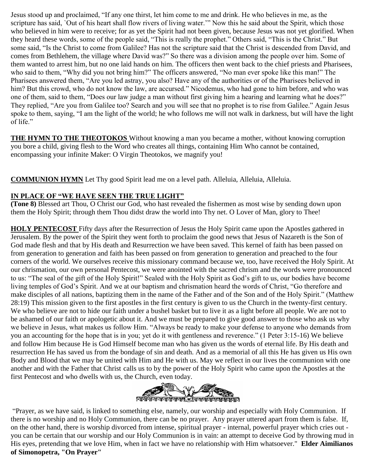Jesus stood up and proclaimed, "If any one thirst, let him come to me and drink. He who believes in me, as the scripture has said, `Out of his heart shall flow rivers of living water.'" Now this he said about the Spirit, which those who believed in him were to receive; for as yet the Spirit had not been given, because Jesus was not yet glorified. When they heard these words, some of the people said, "This is really the prophet." Others said, "This is the Christ." But some said, "Is the Christ to come from Galilee? Has not the scripture said that the Christ is descended from David, and comes from Bethlehem, the village where David was?" So there was a division among the people over him. Some of them wanted to arrest him, but no one laid hands on him. The officers then went back to the chief priests and Pharisees, who said to them, "Why did you not bring him?" The officers answered, "No man ever spoke like this man!" The Pharisees answered them, "Are you led astray, you also? Have any of the authorities or of the Pharisees believed in him? But this crowd, who do not know the law, are accursed." Nicodemus, who had gone to him before, and who was one of them, said to them, "Does our law judge a man without first giving him a hearing and learning what he does?" They replied, "Are you from Galilee too? Search and you will see that no prophet is to rise from Galilee." Again Jesus spoke to them, saying, "I am the light of the world; he who follows me will not walk in darkness, but will have the light of life."

**THE HYMN TO THE THEOTOKOS** Without knowing a man you became a mother, without knowing corruption you bore a child, giving flesh to the Word who creates all things, containing Him Who cannot be contained, encompassing your infinite Maker: O Virgin Theotokos, we magnify you!

**COMMUNION HYMN** Let Thy good Spirit lead me on a level path. Alleluia, Alleluia, Alleluia.

## **IN PLACE OF "WE HAVE SEEN THE TRUE LIGHT"**

**(Tone 8)** Blessed art Thou, O Christ our God, who hast revealed the fishermen as most wise by sending down upon them the Holy Spirit; through them Thou didst draw the world into Thy net. O Lover of Man, glory to Thee!

**HOLY PENTECOST** Fifty days after the Resurrection of Jesus the Holy Spirit came upon the Apostles gathered in Jerusalem. By the power of the Spirit they went forth to proclaim the good news that Jesus of Nazareth is the Son of God made flesh and that by His death and Resurrection we have been saved. This kernel of faith has been passed on from generation to generation and faith has been passed on from generation to generation and preached to the four corners of the world. We ourselves receive this missionary command because we, too, have received the Holy Spirit. At our chrismation, our own personal Pentecost, we were anointed with the sacred chrism and the words were pronounced to us: "The seal of the gift of the Holy Spirit!" Sealed with the Holy Spirit as God's gift to us, our bodies have become living temples of God's Spirit. And we at our baptism and chrismation heard the words of Christ, "Go therefore and make disciples of all nations, baptizing them in the name of the Father and of the Son and of the Holy Spirit." (Matthew 28:19) This mission given to the first apostles in the first century is given to us the Church in the twenty-first century. We who believe are not to hide our faith under a bushel basket but to live it as a light before all people. We are not to be ashamed of our faith or apologetic about it. And we must be prepared to give good answer to those who ask us why we believe in Jesus, what makes us follow Him. "Always be ready to make your defense to anyone who demands from you an accounting for the hope that is in you; yet do it with gentleness and reverence." (1 Peter 3:15-16) We believe and follow Him because He is God Himself become man who has given us the words of eternal life. By His death and resurrection He has saved us from the bondage of sin and death. And as a memorial of all this He has given us His own Body and Blood that we may be united with Him and He with us. May we reflect in our lives the communion with one another and with the Father that Christ calls us to by the power of the Holy Spirit who came upon the Apostles at the first Pentecost and who dwells with us, the Church, even today.



"Prayer, as we have said, is linked to something else, namely, our worship and especially with Holy Communion. If there is no worship and no Holy Communion, there can be no prayer. Any prayer uttered apart from them is false. If, on the other hand, there is worship divorced from intense, spiritual prayer - internal, powerful prayer which cries out you can be certain that our worship and our Holy Communion is in vain: an attempt to deceive God by throwing mud in His eyes, pretending that we love Him, when in fact we have no relationship with Him whatsoever." **Elder Aimilianos of Simonopetra, "On Prayer"**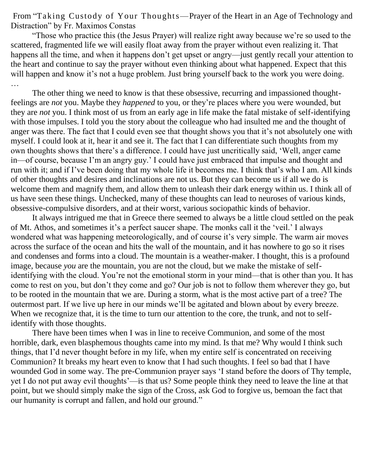From "Taking Custody of Your Thoughts—Prayer of the Heart in an Age of Technology and Distraction" by Fr. Maximos Constas

"Those who practice this (the Jesus Prayer) will realize right away because we're so used to the scattered, fragmented life we will easily float away from the prayer without even realizing it. That happens all the time, and when it happens don't get upset or angry—just gently recall your attention to the heart and continue to say the prayer without even thinking about what happened. Expect that this will happen and know it's not a huge problem. Just bring yourself back to the work you were doing. …

The other thing we need to know is that these obsessive, recurring and impassioned thoughtfeelings are *not* you. Maybe they *happened* to you, or they're places where you were wounded, but they are *not* you. I think most of us from an early age in life make the fatal mistake of self-identifying with those impulses. I told you the story about the colleague who had insulted me and the thought of anger was there. The fact that I could even see that thought shows you that it's not absolutely one with myself. I could look at it, hear it and see it. The fact that I can differentiate such thoughts from my own thoughts shows that there's a difference. I could have just uncritically said, 'Well, anger came in—of course, because I'm an angry guy.' I could have just embraced that impulse and thought and run with it; and if I've been doing that my whole life it becomes me. I think that's who I am. All kinds of other thoughts and desires and inclinations are not us. But they can become us if all we do is welcome them and magnify them, and allow them to unleash their dark energy within us. I think all of us have seen these things. Unchecked, many of these thoughts can lead to neuroses of various kinds, obsessive-compulsive disorders, and at their worst, various sociopathic kinds of behavior.

It always intrigued me that in Greece there seemed to always be a little cloud settled on the peak of Mt. Athos, and sometimes it's a perfect saucer shape. The monks call it the 'veil.' I always wondered what was happening meteorologically, and of course it's very simple. The warm air moves across the surface of the ocean and hits the wall of the mountain, and it has nowhere to go so it rises and condenses and forms into a cloud. The mountain is a weather-maker. I thought, this is a profound image, because *you* are the mountain, you are not the cloud, but we make the mistake of selfidentifying with the cloud. You're not the emotional storm in your mind—that is other than you. It has come to rest on you, but don't they come and go? Our job is not to follow them wherever they go, but to be rooted in the mountain that we are. During a storm, what is the most active part of a tree? The outermost part. If we live up here in our minds we'll be agitated and blown about by every breeze. When we recognize that, it is the time to turn our attention to the core, the trunk, and not to selfidentify with those thoughts.

There have been times when I was in line to receive Communion, and some of the most horrible, dark, even blasphemous thoughts came into my mind. Is that me? Why would I think such things, that I'd never thought before in my life, when my entire self is concentrated on receiving Communion? It breaks my heart even to know that I had such thoughts. I feel so bad that I have wounded God in some way. The pre-Communion prayer says 'I stand before the doors of Thy temple, yet I do not put away evil thoughts'—is that us? Some people think they need to leave the line at that point, but we should simply make the sign of the Cross, ask God to forgive us, bemoan the fact that our humanity is corrupt and fallen, and hold our ground."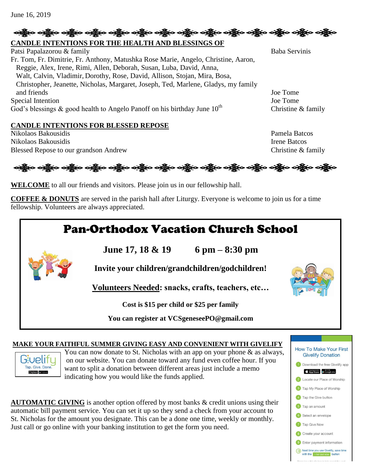## <del>ပဏ္သို့လ ပဏ္သို့လ ပဏ္သို့လ ပဏ္သို့လ ပဏ္သို့လ ပဏ္သို့လ ပဏ္သို့လ ပဏ္သို့လ ပဏ္သို့လ ပဏ္သို့လ ပဏ္သို့လ</del> **CANDLE INTENTIONS FOR THE HEALTH AND BLESSINGS OF**

| Patsi Papalazorou & family                                                         | <b>Baba Servinis</b> |
|------------------------------------------------------------------------------------|----------------------|
| Fr. Tom, Fr. Dimitrie, Fr. Anthony, Matushka Rose Marie, Angelo, Christine, Aaron, |                      |
| Reggie, Alex, Irene, Rimi, Allen, Deborah, Susan, Luba, David, Anna,               |                      |
| Walt, Calvin, Vladimir, Dorothy, Rose, David, Allison, Stojan, Mira, Bosa,         |                      |
| Christopher, Jeanette, Nicholas, Margaret, Joseph, Ted, Marlene, Gladys, my family |                      |
| and friends                                                                        | Joe Tome             |
| Special Intention                                                                  | Joe Tome             |
| God's blessings & good health to Angelo Panoff on his birthday June $10^{th}$      | Christine & family   |

#### **CANDLE INTENTIONS FOR BLESSED REPOSE**

Nikolaos Bakousidis Pamela Batcos Nikolaos Bakousidis Irene Batcos Blessed Repose to our grandson Andrew Christine & family

**How To Make Your First Givelify Donation** 

Download the free Givelify app

2 Locate our Place of Worship 3 Tap My Place of Worship 4 Tap the Give button 5 Tap an amount 6 Select an envelope 7 Tap Give Now **8** Create your account 9 Enter payment information Next time you use Givelify, save time vith the 1-TAP GIVE NOW buttor

<u>နေရွိက ခရိုက ခရိုက် ခရိုက် ခရိုက် ခရိုက် ခရိုက် ခရိုက် ခရိုက် ခရိုက် ခရိုက် ခရိုက် ခရိုက် ခရိုက်</u>

**WELCOME** to all our friends and visitors. Please join us in our fellowship hall.

**COFFEE & DONUTS** are served in the parish hall after Liturgy. Everyone is welcome to join us for a time fellowship. Volunteers are always appreciated.

# **MAKE YOUR FAITHFUL SUMMER GIVING EASY AND CONVENIENT WITH GIVELIFY** Pan-Orthodox Vacation Church School **June 17, 18 & 19 6 pm – 8:30 pm Invite your children/grandchildren/godchildren! Volunteers Needed: snacks, crafts, teachers, etc… Cost is \$15 per child or \$25 per family You can register at VCSgeneseePO@gmail.com**

## **GUelitu** Tap. Give. Done. App Store Despite

You can now donate to St. Nicholas with an app on your phone & as always, on our website. You can donate toward any fund even coffee hour. If you want to split a donation between different areas just include a memo indicating how you would like the funds applied.

**AUTOMATIC GIVING** is another option offered by most banks & credit unions using their automatic bill payment service. You can set it up so they send a check from your account to St. Nicholas for the amount you designate. This can be a done one time, weekly or monthly. Just call or go online with your banking institution to get the form you need.